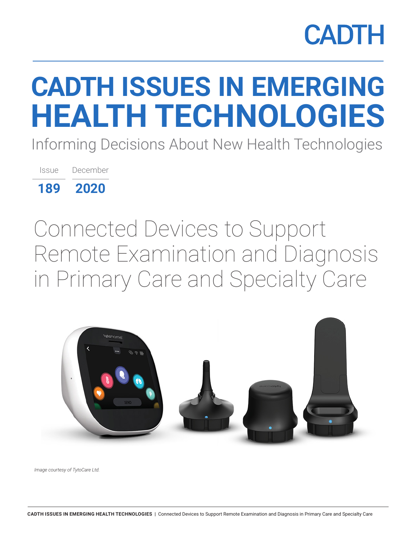# **CADTH ISSUES IN EMERGING HEALTH TECHNOLOGIES**

Informing Decisions About New Health Technologies

Issue December

**189 2020**

Connected Devices to Support Remote Examination and Diagnosis in Primary Care and Specialty Care



*Image courtesy of TytoCare Ltd.*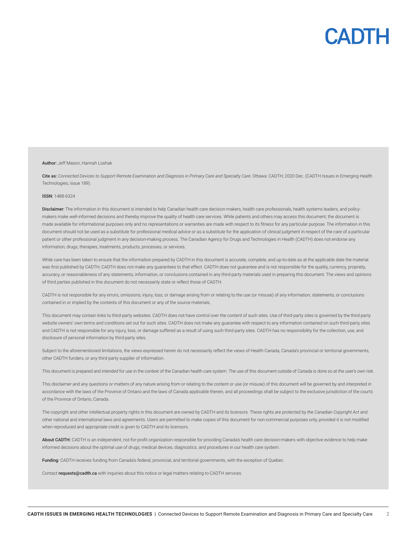

#### Author: Jeff Mason, Hannah Loshak

Cite as: Connected Devices to Support Remote Examination and Diagnosis in Primary Care and Specialty Care. Ottawa: CADTH; 2020 Dec. (CADTH Issues in Emerging Health Technologies; issue 189).

#### ISSN: 1488-6324

Disclaimer: The information in this document is intended to help Canadian health care decision-makers, health care professionals, health systems leaders, and policymakers make well-informed decisions and thereby improve the quality of health care services. While patients and others may access this document, the document is made available for informational purposes only and no representations or warranties are made with respect to its fitness for any particular purpose. The information in this document should not be used as a substitute for professional medical advice or as a substitute for the application of clinical judgment in respect of the care of a particular patient or other professional judgment in any decision-making process. The Canadian Agency for Drugs and Technologies in Health (CADTH) does not endorse any information, drugs, therapies, treatments, products, processes, or services.

While care has been taken to ensure that the information prepared by CADTH in this document is accurate, complete, and up-to-date as at the applicable date the material was first published by CADTH, CADTH does not make any guarantees to that effect. CADTH does not guarantee and is not responsible for the quality, currency, propriety, accuracy, or reasonableness of any statements, information, or conclusions contained in any third-party materials used in preparing this document. The views and opinions of third parties published in this document do not necessarily state or reflect those of CADTH.

CADTH is not responsible for any errors, omissions, injury, loss, or damage arising from or relating to the use (or misuse) of any information, statements, or conclusions contained in or implied by the contents of this document or any of the source materials.

This document may contain links to third-party websites. CADTH does not have control over the content of such sites. Use of third-party sites is governed by the third-party website owners' own terms and conditions set out for such sites. CADTH does not make any guarantee with respect to any information contained on such third-party sites and CADTH is not responsible for any injury, loss, or damage suffered as a result of using such third-party sites. CADTH has no responsibility for the collection, use, and disclosure of personal information by third-party sites.

Subject to the aforementioned limitations, the views expressed herein do not necessarily reflect the views of Health Canada, Canada's provincial or territorial governments, other CADTH funders, or any third-party supplier of information.

This document is prepared and intended for use in the context of the Canadian health care system. The use of this document outside of Canada is done so at the user's own risk.

This disclaimer and any questions or matters of any nature arising from or relating to the content or use (or misuse) of this document will be governed by and interpreted in accordance with the laws of the Province of Ontario and the laws of Canada applicable therein, and all proceedings shall be subject to the exclusive jurisdiction of the courts of the Province of Ontario, Canada.

The copyright and other intellectual property rights in this document are owned by CADTH and its licensors. These rights are protected by the *Canadian Copyright Act* and other national and international laws and agreements. Users are permitted to make copies of this document for non-commercial purposes only, provided it is not modified when reproduced and appropriate credit is given to CADTH and its licensors.

About CADTH: CADTH is an independent, not-for-profit organization responsible for providing Canada's health care decision-makers with objective evidence to help make informed decisions about the optimal use of drugs, medical devices, diagnostics, and procedures in our health care system.

Funding: CADTH receives funding from Canada's federal, provincial, and territorial governments, with the exception of Quebec.

Contact [requests@cadth.ca](mailto:requests@cadth.ca) with inquiries about this notice or legal matters relating to CADTH services.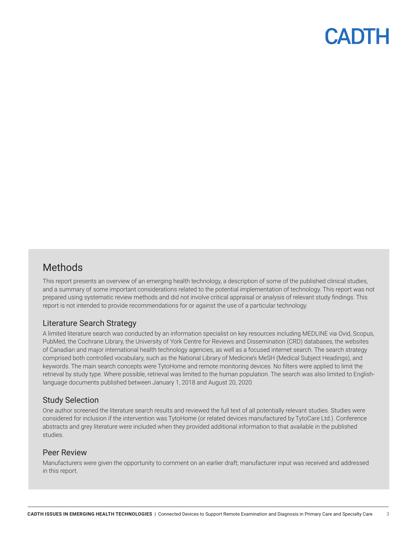### Methods

This report presents an overview of an emerging health technology, a description of some of the published clinical studies, and a summary of some important considerations related to the potential implementation of technology. This report was not prepared using systematic review methods and did not involve critical appraisal or analysis of relevant study findings. This report is not intended to provide recommendations for or against the use of a particular technology.

#### Literature Search Strategy

A limited literature search was conducted by an information specialist on key resources including MEDLINE via Ovid, Scopus, PubMed, the Cochrane Library, the University of York Centre for Reviews and Dissemination (CRD) databases, the websites of Canadian and major international health technology agencies, as well as a focused internet search. The search strategy comprised both controlled vocabulary, such as the National Library of Medicine's MeSH (Medical Subject Headings), and keywords. The main search concepts were TytoHome and remote monitoring devices. No filters were applied to limit the retrieval by study type. Where possible, retrieval was limited to the human population. The search was also limited to Englishlanguage documents published between January 1, 2018 and August 20, 2020.

#### Study Selection

One author screened the literature search results and reviewed the full text of all potentially relevant studies. Studies were considered for inclusion if the intervention was TytoHome (or related devices manufactured by TytoCare Ltd.). Conference abstracts and grey literature were included when they provided additional information to that available in the published studies.

#### Peer Review

Manufacturers were given the opportunity to comment on an earlier draft; manufacturer input was received and addressed in this report.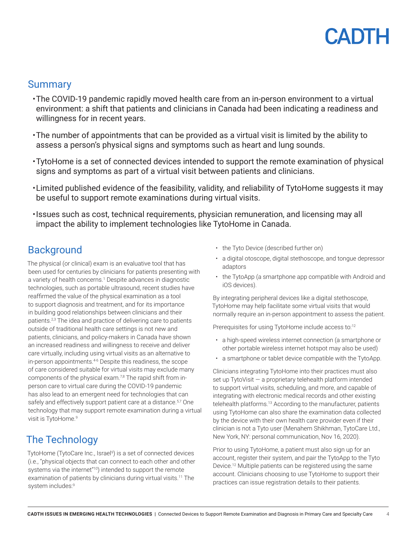### **Summary**

- •The COVID-19 pandemic rapidly moved health care from an in-person environment to a virtual environment: a shift that patients and clinicians in Canada had been indicating a readiness and willingness for in recent years.
- •The number of appointments that can be provided as a virtual visit is limited by the ability to assess a person's physical signs and symptoms such as heart and lung sounds.
- •TytoHome is a set of connected devices intended to support the remote examination of physical signs and symptoms as part of a virtual visit between patients and clinicians.
- •Limited published evidence of the feasibility, validity, and reliability of TytoHome suggests it may be useful to support remote examinations during virtual visits.
- •Issues such as cost, technical requirements, physician remuneration, and licensing may all impact the ability to implement technologies like TytoHome in Canada.

## **Background**

The physical (or clinical) exam is an evaluative tool that has been used for centuries by clinicians for patients presenting with a variety of health concerns.<sup>1</sup> Despite advances in diagnostic technologies, such as portable ultrasound, recent studies have reaffirmed the value of the physical examination as a tool to support diagnosis and treatment, and for its importance in building good relationships between clinicians and their patients.2,3 The idea and practice of delivering care to patients outside of traditional health care settings is not new and patients, clinicians, and policy-makers in Canada have shown an increased readiness and willingness to receive and deliver care virtually, including using virtual visits as an alternative to in-person appointments.4-6 Despite this readiness, the scope of care considered suitable for virtual visits may exclude many components of the physical exam.<sup>7,8</sup> The rapid shift from inperson care to virtual care during the COVID-19 pandemic has also lead to an emergent need for technologies that can safely and effectively support patient care at a distance.<sup>5,7</sup> One technology that may support remote examination during a virtual visit is TytoHome.<sup>9</sup>

## The Technology

TytoHome (TytoCare Inc., Israel<sup>9</sup>) is a set of connected devices (i.e., "physical objects that can connect to each other and other systems via the internet"<sup>10</sup>) intended to support the remote examination of patients by clinicians during virtual visits.11 The system includes:9

- the Tyto Device (described further on)
- a digital otoscope, digital stethoscope, and tongue depressor adaptors
- the TytoApp (a smartphone app compatible with Android and iOS devices).

By integrating peripheral devices like a digital stethoscope, TytoHome may help facilitate some virtual visits that would normally require an in-person appointment to assess the patient.

Prerequisites for using TytoHome include access to:<sup>12</sup>

- a high-speed wireless internet connection (a smartphone or other portable wireless internet hotspot may also be used)
- a smartphone or tablet device compatible with the TytoApp.

Clinicians integrating TytoHome into their practices must also set up TytoVisit — a proprietary telehealth platform intended to support virtual visits, scheduling, and more, and capable of integrating with electronic medical records and other existing telehealth platforms.13 According to the manufacturer, patients using TytoHome can also share the examination data collected by the device with their own health care provider even if their clinician is not a Tyto user (Menahem Shikhman, TytoCare Ltd., New York, NY: personal communication, Nov 16, 2020).

Prior to using TytoHome, a patient must also sign up for an account, register their system, and pair the TytoApp to the Tyto Device.12 Multiple patients can be registered using the same account. Clinicians choosing to use TytoHome to support their practices can issue registration details to their patients.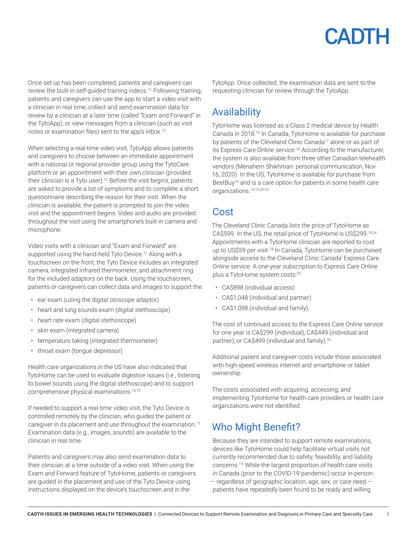

Once set-up has been completed, patients and caregivers can review the built-in self-quided training videos.<sup>11</sup> Following training, patients and caregivers can use the app to start a video visit with a clinician in real time, collect and send examination data for review by a clinician at a later time (called "Exam and Forward" in the TytoApp), or view messages from a clinician (such as visit notes or examination files) sent to the app's inbox.<sup>12</sup>

When selecting a real-time video visit, TytoApp allows patients and caregivers to choose between an immediate appointment with a national or regional provider group using the TytoCare platform or an appointment with their own clinician (provided their clinician is a Tyto user).<sup>12</sup> Before the visit begins, patients are asked to provide a list of symptoms and to complete a short questionnaire describing the reason for their visit. When the clinician is available, the patient is prompted to join the video visit and the appointment begins. Video and audio are provided throughout the visit using the smartphone's built-in camera and microphone.

Video visits with a clinician and "Exam and Forward" are supported using the hand-held Tyto Device.<sup>12</sup> Along with a touchscreen on the front, the Tyto Device includes an integrated camera, integrated infrared thermometer, and attachment ring for the included adaptors on the back. Using the touchscreen, patients or caregivers can collect data and images to support the:

- ear exam (using the digital otoscope adaptor)
- heart and lung sounds exam (digital stethoscope)
- heart rate exam (digital stethoscope)
- skin exam (integrated camera)
- temperature taking (integrated thermometer)
- throat exam (tongue depressor).

Health care organizations in the US have also indicated that TytoHome can be used to evaluate digestive issues (i.e., listening to bowel sounds using the digital stethoscope) and to support comprehensive physical examinations.14,15

If needed to support a real-time video visit, the Tyto Device is controlled remotely by the clinician, who guides the patient or caregiver in its placement and use throughout the examination.<sup>12</sup> Examination data (e.g., images, sounds) are available to the clinician in real time.

Patients and caregivers may also send examination data to their clinician at a time outside of a video visit. When using the Exam and Forward feature of TytoHome, patients or caregivers are guided in the placement and use of the Tyto Device using instructions displayed on the device's touchscreen and in the

TytoApp. Once collected, the examination data are sent to the requesting clinician for review through the TytoApp.

### Availability

TytoHome was licensed as a Class 2 medical device by Health Canada in 2018.<sup>16</sup> In Canada, TytoHome is available for purchase by patients of the Cleveland Clinic Canada<sup>17</sup> alone or as part of its Express Care Online service.<sup>18</sup> According to the manufacturer, the system is also available from three other Canadian telehealth vendors (Menahem Shikhman: personal communication, Nov 16, 2020). In the US, TytoHome is available for purchase from BestBuy<sup>19</sup> and is a care option for patients in some health care organizations.14,15,20-23

### Cost

The Cleveland Clinic Canada lists the price of TytoHome as CA\$599. In the US, the retail price of TytoHome is US\$299.19,24 Appointments with a TytoHome clinician are reported to cost up to US\$59 per visit.<sup>24</sup> In Canada, TytoHome can be purchased alongside access to the Cleveland Clinic Canada' Express Care Online service. A one-year subscription to Express Care Online plus a TytoHome system costs:25

- CA\$898 (individual access)
- CA\$1,048 (individual and partner)
- CA\$1,098 (individual and family).

The cost of continued access to the Express Care Online service for one year is CA\$299 (individual), CA\$449 (individual and partner), or CA\$499 (individual and family).<sup>26</sup>

Additional patient and caregiver costs include those associated with high-speed wireless internet and smartphone or tablet ownership.

The costs associated with acquiring, accessing, and implementing TytoHome for health care providers or health care organizations were not identified.

## Who Might Benefit?

Because they are intended to support remote examinations, devices like TytoHome could help facilitate virtual visits not currently recommended due to safety, feasibility, and liability concerns.7,8 While the largest proportion of health care visits in Canada (prior to the COVID-19 pandemic) occur in-person  $-$  regardless of geographic location, age, sex, or care need  $$ patients have repeatedly been found to be ready and willing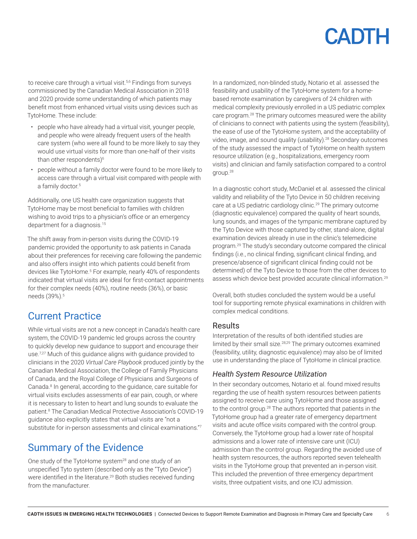to receive care through a virtual visit.<sup>5,6</sup> Findings from surveys commissioned by the Canadian Medical Association in 2018 and 2020 provide some understanding of which patients may benefit most from enhanced virtual visits using devices such as TytoHome. These include:

- people who have already had a virtual visit, younger people, and people who were already frequent users of the health care system (who were all found to be more likely to say they would use virtual visits for more than one-half of their visits than other respondents)<sup>6</sup>
- people without a family doctor were found to be more likely to access care through a virtual visit compared with people with a family doctor.<sup>5</sup>

Additionally, one US health care organization suggests that TytoHome may be most beneficial to families with children wishing to avoid trips to a physician's office or an emergency department for a diagnosis.15

The shift away from in-person visits during the COVID-19 pandemic provided the opportunity to ask patients in Canada about their preferences for receiving care following the pandemic and also offers insight into which patients could benefit from devices like TytoHome.<sup>5</sup> For example, nearly 40% of respondents indicated that virtual visits are ideal for first-contact appointments for their complex needs (40%), routine needs (36%), or basic needs (39%).<sup>5</sup>

### Current Practice

While virtual visits are not a new concept in Canada's health care system, the COVID-19 pandemic led groups across the country to quickly develop new guidance to support and encourage their use.7,27 Much of this guidance aligns with guidance provided to clinicians in the 2020 *Virtual Care Playbook* produced jointly by the Canadian Medical Association, the College of Family Physicians of Canada, and the Royal College of Physicians and Surgeons of Canada.<sup>8</sup> In general, according to the guidance, care suitable for virtual visits excludes assessments of ear pain, cough, or where it is necessary to listen to heart and lung sounds to evaluate the patient.8 The Canadian Medical Protective Association's COVID-19 guidance also explicitly states that virtual visits are "not a substitute for in-person assessments and clinical examinations."7

## Summary of the Evidence

One study of the TytoHome system<sup>28</sup> and one study of an unspecified Tyto system (described only as the "Tyto Device") were identified in the literature.<sup>29</sup> Both studies received funding from the manufacturer.

In a randomized, non-blinded study, Notario et al. assessed the feasibility and usability of the TytoHome system for a homebased remote examination by caregivers of 24 children with medical complexity previously enrolled in a US pediatric complex care program.<sup>28</sup> The primary outcomes measured were the ability of clinicians to connect with patients using the system (feasibility), the ease of use of the TytoHome system, and the acceptability of video, image, and sound quality (usability).28 Secondary outcomes of the study assessed the impact of TytoHome on health system resource utilization (e.g., hospitalizations, emergency room visits) and clinician and family satisfaction compared to a control group.28

In a diagnostic cohort study, McDaniel et al. assessed the clinical validity and reliability of the Tyto Device in 50 children receiving care at a US pediatric cardiology clinic.<sup>29</sup> The primary outcome (diagnostic equivalence) compared the quality of heart sounds, lung sounds, and images of the tympanic membrane captured by the Tyto Device with those captured by other, stand-alone, digital examination devices already in use in the clinic's telemedicine program.29 The study's secondary outcome compared the clinical findings (i.e., no clinical finding, significant clinical finding, and presence/absence of significant clinical finding could not be determined) of the Tyto Device to those from the other devices to assess which device best provided accurate clinical information.29

Overall, both studies concluded the system would be a useful tool for supporting remote physical examinations in children with complex medical conditions.

#### Results

Interpretation of the results of both identified studies are limited by their small size.<sup>28,29</sup> The primary outcomes examined (feasibility, utility, diagnostic equivalence) may also be of limited use in understanding the place of TytoHome in clinical practice.

#### *Health System Resource Utilization*

In their secondary outcomes, Notario et al. found mixed results regarding the use of health system resources between patients assigned to receive care using TytoHome and those assigned to the control group.28 The authors reported that patients in the TytoHome group had a greater rate of emergency department visits and acute office visits compared with the control group. Conversely, the TytoHome group had a lower rate of hospital admissions and a lower rate of intensive care unit (ICU) admission than the control group. Regarding the avoided use of health system resources, the authors reported seven telehealth visits in the TytoHome group that prevented an in-person visit. This included the prevention of three emergency department visits, three outpatient visits, and one ICU admission.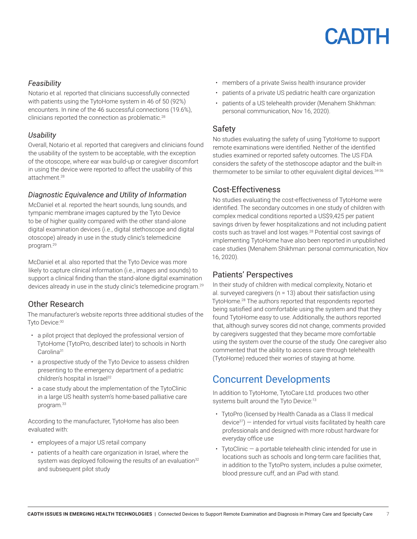

#### *Feasibility*

Notario et al. reported that clinicians successfully connected with patients using the TytoHome system in 46 of 50 (92%) encounters. In nine of the 46 successful connections (19.6%), clinicians reported the connection as problematic.28

#### *Usability*

Overall, Notario et al. reported that caregivers and clinicians found the usability of the system to be acceptable, with the exception of the otoscope, where ear wax build-up or caregiver discomfort in using the device were reported to affect the usability of this attachment.28

#### *Diagnostic Equivalence and Utility of Information*

McDaniel et al. reported the heart sounds, lung sounds, and tympanic membrane images captured by the Tyto Device to be of higher quality compared with the other stand-alone digital examination devices (i.e., digital stethoscope and digital otoscope) already in use in the study clinic's telemedicine program.29

McDaniel et al. also reported that the Tyto Device was more likely to capture clinical information (i.e., images and sounds) to support a clinical finding than the stand-alone digital examination devices already in use in the study clinic's telemedicine program.29

#### Other Research

The manufacturer's website reports three additional studies of the Tyto Device: 30

- a pilot project that deployed the professional version of TytoHome (TytoPro, described later) to schools in North Carolina<sup>31</sup>
- a prospective study of the Tyto Device to assess children presenting to the emergency department of a pediatric children's hospital in Israel<sup>32</sup>
- a case study about the implementation of the TytoClinic in a large US health system's home-based palliative care program.33

According to the manufacturer, TytoHome has also been evaluated with:

- employees of a major US retail company
- patients of a health care organization in Israel, where the system was deployed following the results of an evaluation<sup>32</sup> and subsequent pilot study
- members of a private Swiss health insurance provider
- patients of a private US pediatric health care organization
- patients of a US telehealth provider (Menahem Shikhman: personal communication, Nov 16, 2020).

#### Safety

No studies evaluating the safety of using TytoHome to support remote examinations were identified. Neither of the identified studies examined or reported safety outcomes. The US FDA considers the safety of the stethoscope adaptor and the built-in thermometer to be similar to other equivalent digital devices.<sup>34-36</sup>

#### Cost-Effectiveness

No studies evaluating the cost-effectiveness of TytoHome were identified. The secondary outcomes in one study of children with complex medical conditions reported a US\$9,425 per patient savings driven by fewer hospitalizations and not including patient costs such as travel and lost wages.<sup>28</sup> Potential cost savings of implementing TytoHome have also been reported in unpublished case studies (Menahem Shikhman: personal communication, Nov 16, 2020).

#### Patients' Perspectives

In their study of children with medical complexity, Notario et al. surveyed caregivers (n = 13) about their satisfaction using TytoHome.28 The authors reported that respondents reported being satisfied and comfortable using the system and that they found TytoHome easy to use. Additionally, the authors reported that, although survey scores did not change, comments provided by caregivers suggested that they became more comfortable using the system over the course of the study. One caregiver also commented that the ability to access care through telehealth (TytoHome) reduced their worries of staying at home.

## Concurrent Developments

In addition to TytoHome, TytoCare Ltd. produces two other systems built around the Tyto Device:<sup>13</sup>

- TytoPro (licensed by Health Canada as a Class II medical  $device<sup>37</sup>$ ) — intended for virtual visits facilitated by health care professionals and designed with more robust hardware for everyday office use
- TytoClinic a portable telehealth clinic intended for use in locations such as schools and long-term care facilities that, in addition to the TytoPro system, includes a pulse oximeter, blood pressure cuff, and an iPad with stand.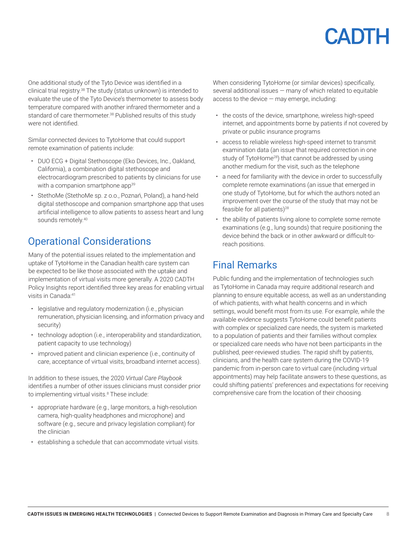One additional study of the Tyto Device was identified in a clinical trial registry.38 The study (status unknown) is intended to evaluate the use of the Tyto Device's thermometer to assess body temperature compared with another infrared thermometer and a standard of care thermometer.<sup>38</sup> Published results of this study were not identified.

Similar connected devices to TytoHome that could support remote examination of patients include:

- DUO ECG + Digital Stethoscope (Eko Devices, Inc., Oakland, California), a combination digital stethoscope and electrocardiogram prescribed to patients by clinicians for use with a companion smartphone app<sup>39</sup>
- StethoMe (StethoMe sp. z o.o., Poznań, Poland), a hand-held digital stethoscope and companion smartphone app that uses artificial intelligence to allow patients to assess heart and lung sounds remotely.<sup>40</sup>

## Operational Considerations

Many of the potential issues related to the implementation and uptake of TytoHome in the Canadian health care system can be expected to be like those associated with the uptake and implementation of virtual visits more generally. A 2020 CADTH Policy Insights report identified three key areas for enabling virtual visits in Canada:41

- legislative and regulatory modernization (i.e., physician remuneration, physician licensing, and information privacy and security)
- technology adoption (i.e., interoperability and standardization, patient capacity to use technology)
- improved patient and clinician experience (i.e., continuity of care, acceptance of virtual visits, broadband internet access).

In addition to these issues, the 2020 *Virtual Care Playbook* identifies a number of other issues clinicians must consider prior to implementing virtual visits.<sup>8</sup> These include:

- appropriate hardware (e.g., large monitors, a high-resolution camera, high-quality headphones and microphone) and software (e.g., secure and privacy legislation compliant) for the clinician
- establishing a schedule that can accommodate virtual visits.

When considering TytoHome (or similar devices) specifically, several additional issues — many of which related to equitable access to the device  $-$  may emerge, including:

- the costs of the device, smartphone, wireless high-speed internet, and appointments borne by patients if not covered by private or public insurance programs
- access to reliable wireless high-speed internet to transmit examination data (an issue that required correction in one study of TytoHome<sup>28</sup>) that cannot be addressed by using another medium for the visit, such as the telephone
- a need for familiarity with the device in order to successfully complete remote examinations (an issue that emerged in one study of TytoHome, but for which the authors noted an improvement over the course of the study that may not be feasible for all patients)<sup>28</sup>
- the ability of patients living alone to complete some remote examinations (e.g., lung sounds) that require positioning the device behind the back or in other awkward or difficult-toreach positions.

## Final Remarks

Public funding and the implementation of technologies such as TytoHome in Canada may require additional research and planning to ensure equitable access, as well as an understanding of which patients, with what health concerns and in which settings, would benefit most from its use. For example, while the available evidence suggests TytoHome could benefit patients with complex or specialized care needs, the system is marketed to a population of patients and their families without complex or specialized care needs who have not been participants in the published, peer-reviewed studies. The rapid shift by patients, clinicians, and the health care system during the COVID-19 pandemic from in-person care to virtual care (including virtual appointments) may help facilitate answers to these questions, as could shifting patients' preferences and expectations for receiving comprehensive care from the location of their choosing.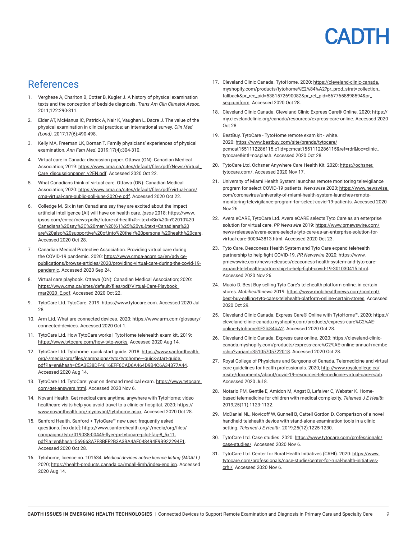### References

- 1. Verghese A, Charlton B, Cotter B, Kugler J. A history of physical examination texts and the conception of bedside diagnosis. *Trans Am Clin Climatol Assoc.*  2011;122:290-311.
- 2. Elder AT, McManus IC, Patrick A, Nair K, Vaughan L, Dacre J. The value of the physical examination in clinical practice: an international survey. *Clin Med (Lond).* 2017;17(6):490-498.
- 3. Kelly MA, Freeman LK, Dornan T. Family physicians' experiences of physical examination. *Ann Fam Med.* 2019;17(4):304-310.
- 4. Virtual care in Canada: discussion paper. Ottawa (ON): Canadian Medical Association; 2019: [https://www.cma.ca/sites/default/files/pdf/News/Virtual\\_](https://www.cma.ca/sites/default/files/pdf/News/Virtual_Care_discussionpaper_v2EN.pdf) [Care\\_discussionpaper\\_v2EN.pdf](https://www.cma.ca/sites/default/files/pdf/News/Virtual_Care_discussionpaper_v2EN.pdf). Accessed 2020 Oct 22.
- 5. What Canadians think of virtual care. Ottawa (ON): Canadian Medical Association; 2020: [https://www.cma.ca/sites/default/files/pdf/virtual-care/](https://www.cma.ca/sites/default/files/pdf/virtual-care/cma-virtual-care-public-poll-june-2020-e.pdf) [cma-virtual-care-public-poll-june-2020-e.pdf.](https://www.cma.ca/sites/default/files/pdf/virtual-care/cma-virtual-care-public-poll-june-2020-e.pdf) Accessed 2020 Oct 22.
- 6. Colledge M. Six in ten Canadians say they are excited about the impact artificial intelligence (AI) will have on health care. *Ipsos* 2018: [https://www.](https://www.ipsos.com/en-ca/news-polls/future-of-health#:~:text=Six in 10 Canadians say,%2C men (61%25 vs.&text=Canadians are also supportive of,into their personal health care) [ipsos.com/en-ca/news-polls/future-of-health#:~:text=Six%20in%2010%20](https://www.ipsos.com/en-ca/news-polls/future-of-health#:~:text=Six in 10 Canadians say,%2C men (61%25 vs.&text=Canadians are also supportive of,into their personal health care) [Canadians%20say,%2C%20men%20\(61%25%20vs.&text=Canadians%20](https://www.ipsos.com/en-ca/news-polls/future-of-health#:~:text=Six in 10 Canadians say,%2C men (61%25 vs.&text=Canadians are also supportive of,into their personal health care) [are%20also%20supportive%20of,into%20their%20personal%20health%20care.](https://www.ipsos.com/en-ca/news-polls/future-of-health#:~:text=Six in 10 Canadians say,%2C men (61%25 vs.&text=Canadians are also supportive of,into their personal health care) Accessed 2020 Oct 28.
- 7. Canadian Medical Protective Association. Providing virtual care during the COVID-19 pandemic. 2020: [https://www.cmpa-acpm.ca/en/advice](https://www.cmpa-acpm.ca/en/advice-publications/browse-articles/2020/providing-virtual-care-during-the-covid-19-pandemic)[publications/browse-articles/2020/providing-virtual-care-during-the-covid-19](https://www.cmpa-acpm.ca/en/advice-publications/browse-articles/2020/providing-virtual-care-during-the-covid-19-pandemic) [pandemic.](https://www.cmpa-acpm.ca/en/advice-publications/browse-articles/2020/providing-virtual-care-during-the-covid-19-pandemic) Accessed 2020 Sep 24.
- 8. Virtual care playbook. Ottawa (ON): Canadian Medical Association; 2020: [https://www.cma.ca/sites/default/files/pdf/Virtual-Care-Playbook\\_](https://www.cma.ca/sites/default/files/pdf/Virtual-Care-Playbook_mar2020_E.pdf) [mar2020\\_E.pdf](https://www.cma.ca/sites/default/files/pdf/Virtual-Care-Playbook_mar2020_E.pdf). Accessed 2020 Oct 22.
- 9. TytoCare Ltd. TytoCare. 2019: <https://www.tytocare.com>. Accessed 2020 Jul 28.
- 10. Arm Ltd. What are connected devices. 2020: [https://www.arm.com/glossary/](https://www.arm.com/glossary/connected-devices) [connected-devices](https://www.arm.com/glossary/connected-devices). Accessed 2020 Oct 1.
- 11. TytoCare Ltd. How TytoCare works | TytoHome telehealth exam kit. 2019: <https://www.tytocare.com/how-tyto-works>. Accessed 2020 Aug 14.
- 12. TytoCare Ltd. Tytohome: quick start guide. 2018: [https://www.sanfordhealth.](https://www.sanfordhealth.org/-/media/org/files/campaigns/tyto/tytohome---quick-start-guide.pdf?la=en&hash=C5A3E38DF4616EFF6CAD6A464D9B4C6A34377A44) [org/-/media/org/files/campaigns/tyto/tytohome---quick-start-guide.](https://www.sanfordhealth.org/-/media/org/files/campaigns/tyto/tytohome---quick-start-guide.pdf?la=en&hash=C5A3E38DF4616EFF6CAD6A464D9B4C6A34377A44) [pdf?la=en&hash=C5A3E38DF4616EFF6CAD6A464D9B4C6A34377A44](https://www.sanfordhealth.org/-/media/org/files/campaigns/tyto/tytohome---quick-start-guide.pdf?la=en&hash=C5A3E38DF4616EFF6CAD6A464D9B4C6A34377A44). Accessed 2020 Aug 14.
- 13. TytoCare Ltd. TytoCare: your on demand medical exam. [https://www.tytocare.](https://www.tytocare.com/get-answers.html) [com/get-answers.html.](https://www.tytocare.com/get-answers.html) Accessed 2020 Nov 6.
- 14. Novant Health. Get medical care anytime, anywhere with TytoHome: video healthcare visits help you avoid travel to a clinic or hospital. 2020: [https://](https://www.novanthealth.org/mynovant/tytohome.aspx) [www.novanthealth.org/mynovant/tytohome.aspx.](https://www.novanthealth.org/mynovant/tytohome.aspx) Accessed 2020 Oct 28.
- 15. Sanford Health. Sanford + TytoCare™ new user: frequently asked questions. [no date]: [https://www.sanfordhealth.org/-/media/org/files/](https://www.sanfordhealth.org/-/media/org/files/campaigns/tyto/019038-00445-flyer-px-tytocare-pilot-faq-8_5x11.pdf?la=en&hash=569663A7E8BEF2B3A3BA4AF048494E9B922294F1) [campaigns/tyto/019038-00445-flyer-px-tytocare-pilot-faq-8\\_5x11.](https://www.sanfordhealth.org/-/media/org/files/campaigns/tyto/019038-00445-flyer-px-tytocare-pilot-faq-8_5x11.pdf?la=en&hash=569663A7E8BEF2B3A3BA4AF048494E9B922294F1) [pdf?la=en&hash=569663A7E8BEF2B3A3BA4AF048494E9B922294F1](https://www.sanfordhealth.org/-/media/org/files/campaigns/tyto/019038-00445-flyer-px-tytocare-pilot-faq-8_5x11.pdf?la=en&hash=569663A7E8BEF2B3A3BA4AF048494E9B922294F1). Accessed 2020 Oct 28.
- 16. Tytohome; licence no. 101534. *Medical devices active licence listing (MDALL)* 2020; [https://health-products.canada.ca/mdall-limh/index-eng.jsp.](https://health-products.canada.ca/mdall-limh/index-eng.jsp) Accessed 2020 Aug 14.
- 17. Cleveland Clinic Canada. TytoHome. 2020: [https://cleveland-clinic-canada.](https://cleveland-clinic-canada.myshopify.com/products/tytohome%E2%84%A2?pr_prod_strat=collection_fallback&pr_rec_pid=5381572690082&pr_ref_pid=5677658898594&pr_seq=uniform) [myshopify.com/products/tytohome%E2%84%A2?pr\\_prod\\_strat=collection\\_](https://cleveland-clinic-canada.myshopify.com/products/tytohome%E2%84%A2?pr_prod_strat=collection_fallback&pr_rec_pid=5381572690082&pr_ref_pid=5677658898594&pr_seq=uniform) [fallback&pr\\_rec\\_pid=5381572690082&pr\\_ref\\_pid=5677658898594&pr\\_](https://cleveland-clinic-canada.myshopify.com/products/tytohome%E2%84%A2?pr_prod_strat=collection_fallback&pr_rec_pid=5381572690082&pr_ref_pid=5677658898594&pr_seq=uniform) [seq=uniform](https://cleveland-clinic-canada.myshopify.com/products/tytohome%E2%84%A2?pr_prod_strat=collection_fallback&pr_rec_pid=5381572690082&pr_ref_pid=5677658898594&pr_seq=uniform). Accessed 2020 Oct 28.
- 18. Cleveland Clinic Canada. Cleveland Clinic Express Care® Online. 2020: [https://](https://my.clevelandclinic.org/canada/resources/express-care-online) [my.clevelandclinic.org/canada/resources/express-care-online](https://my.clevelandclinic.org/canada/resources/express-care-online). Accessed 2020 Oct 28.
- 19. BestBuy. TytoCare TytoHome remote exam kit white. 2020: [https://www.bestbuy.com/site/brands/tytocare/](https://www.bestbuy.com/site/brands/tytocare/pcmcat1551112286115.c?id=pcmcat1551112286115&ref=rdr&loc=clinic_tytocare&intl=nosplash) [pcmcat1551112286115.c?id=pcmcat1551112286115&ref=rdr&loc=clinic\\_](https://www.bestbuy.com/site/brands/tytocare/pcmcat1551112286115.c?id=pcmcat1551112286115&ref=rdr&loc=clinic_tytocare&intl=nosplash) [tytocare&intl=nosplash](https://www.bestbuy.com/site/brands/tytocare/pcmcat1551112286115.c?id=pcmcat1551112286115&ref=rdr&loc=clinic_tytocare&intl=nosplash). Accessed 2020 Oct 28.
- 20. TytoCare Ltd. Ochsner Anywhere Care Health Kit. 2020: [https://ochsner.](https://ochsner.tytocare.com/) [tytocare.com/.](https://ochsner.tytocare.com/) Accessed 2020 Nov 17.
- 21. University of Miami Health System launches remote monitoring televigilance program for select COVID-19 patients. *Newswise* 2020; [https://www.newswise.](https://www.newswise.com/coronavirus/university-of-miami-health-system-launches-remote-monitoring-televigilance-program-for-select-covid-19-patients) [com/coronavirus/university-of-miami-health-system-launches-remote](https://www.newswise.com/coronavirus/university-of-miami-health-system-launches-remote-monitoring-televigilance-program-for-select-covid-19-patients)[monitoring-televigilance-program-for-select-covid-19-patients.](https://www.newswise.com/coronavirus/university-of-miami-health-system-launches-remote-monitoring-televigilance-program-for-select-covid-19-patients) Accessed 2020 Nov 26.
- 22. Avera eCARE, TytoCare Ltd. Avera eCARE selects Tyto Care as an enterprise solution for virtual care. *PR Newswire* 2019: [https://www.prnewswire.com/](https://www.prnewswire.com/news-releases/avera-ecare-selects-tyto-care-as-an-enterprise-solution-for-virtual-care-300943813.html) [news-releases/avera-ecare-selects-tyto-care-as-an-enterprise-solution-for](https://www.prnewswire.com/news-releases/avera-ecare-selects-tyto-care-as-an-enterprise-solution-for-virtual-care-300943813.html)[virtual-care-300943813.html.](https://www.prnewswire.com/news-releases/avera-ecare-selects-tyto-care-as-an-enterprise-solution-for-virtual-care-300943813.html) Accessed 2020 Oct 23.
- 23. Tyto Care. Deaconess Health System and Tyto Care expand telehealth partnership to help fight COVID-19. *PR Newswire* 2020: [https://www.](https://www.prnewswire.com/news-releases/deaconess-health-system-and-tyto-care-expand-telehealth-partnership-to-help-fight-covid-19-301030415.html) [prnewswire.com/news-releases/deaconess-health-system-and-tyto-care](https://www.prnewswire.com/news-releases/deaconess-health-system-and-tyto-care-expand-telehealth-partnership-to-help-fight-covid-19-301030415.html)[expand-telehealth-partnership-to-help-fight-covid-19-301030415.html](https://www.prnewswire.com/news-releases/deaconess-health-system-and-tyto-care-expand-telehealth-partnership-to-help-fight-covid-19-301030415.html). Accessed 2020 Nov 26.
- 24. Muoio D. Best Buy selling Tyto Care's telehealth platform online, in certain stores. *Mobihealthnews* 2019: [https://www.mobihealthnews.com/content/](https://www.mobihealthnews.com/content/best-buy-selling-tyto-cares-telehealth-platform-online-certain-stores) [best-buy-selling-tyto-cares-telehealth-platform-online-certain-stores](https://www.mobihealthnews.com/content/best-buy-selling-tyto-cares-telehealth-platform-online-certain-stores). Accessed 2020 Oct 29.
- 25. Cleveland Clinic Canada. Express Care® Online with TytoHome™. 2020: [https://](https://cleveland-clinic-canada.myshopify.com/products/express-care%C2%AE-online-tytohome%E2%84%A2) [cleveland-clinic-canada.myshopify.com/products/express-care%C2%AE](https://cleveland-clinic-canada.myshopify.com/products/express-care%C2%AE-online-tytohome%E2%84%A2)[online-tytohome%E2%84%A2.](https://cleveland-clinic-canada.myshopify.com/products/express-care%C2%AE-online-tytohome%E2%84%A2) Accessed 2020 Oct 28.
- 26. Cleveland Clinic Canada. Express care online. 2020: [https://cleveland-clinic](https://cleveland-clinic-canada.myshopify.com/products/express-care%C2%AE-online-annual-membership?variant=35105705722018)[canada.myshopify.com/products/express-care%C2%AE-online-annual-membe](https://cleveland-clinic-canada.myshopify.com/products/express-care%C2%AE-online-annual-membership?variant=35105705722018) [rship?variant=35105705722018](https://cleveland-clinic-canada.myshopify.com/products/express-care%C2%AE-online-annual-membership?variant=35105705722018). Accessed 2020 Oct 28.
- 27. Royal College of Physicians and Surgeons of Canada. Telemedicine and virtual care guidelines for health professionals. 2020; [http://www.royalcollege.ca/](http://www.royalcollege.ca/rcsite/documents/about/covid-19-resources-telemedicine-virtual-care-e#ab) [rcsite/documents/about/covid-19-resources-telemedicine-virtual-care-e#ab](http://www.royalcollege.ca/rcsite/documents/about/covid-19-resources-telemedicine-virtual-care-e#ab). Accessed 2020 Jul 8.
- 28. Notario PM, Gentile E, Amidon M, Angst D, Lefaiver C, Webster K. Homebased telemedicine for children with medical complexity. *Telemed J E Health.*  2019;25(11):1123-1132.
- 29. McDaniel NL, Novicoff W, Gunnell B, Cattell Gordon D. Comparison of a novel handheld telehealth device with stand-alone examination tools in a clinic setting. *Telemed J E Health.* 2019;25(12):1225-1230.
- 30. TytoCare Ltd. Case studies. 2020: [https://www.tytocare.com/professionals/](https://www.tytocare.com/professionals/case-studies/) [case-studies/](https://www.tytocare.com/professionals/case-studies/). Accessed 2020 Nov 6.
- 31. TytoCare Ltd. Center for Rural Health Initiatives (CRHI). 2020: [https://www.](https://www.tytocare.com/professionals/case-studie/center-for-rural-health-initiatives-crhi/) [tytocare.com/professionals/case-studie/center-for-rural-health-initiatives](https://www.tytocare.com/professionals/case-studie/center-for-rural-health-initiatives-crhi/)[crhi/](https://www.tytocare.com/professionals/case-studie/center-for-rural-health-initiatives-crhi/). Accessed 2020 Nov 6.